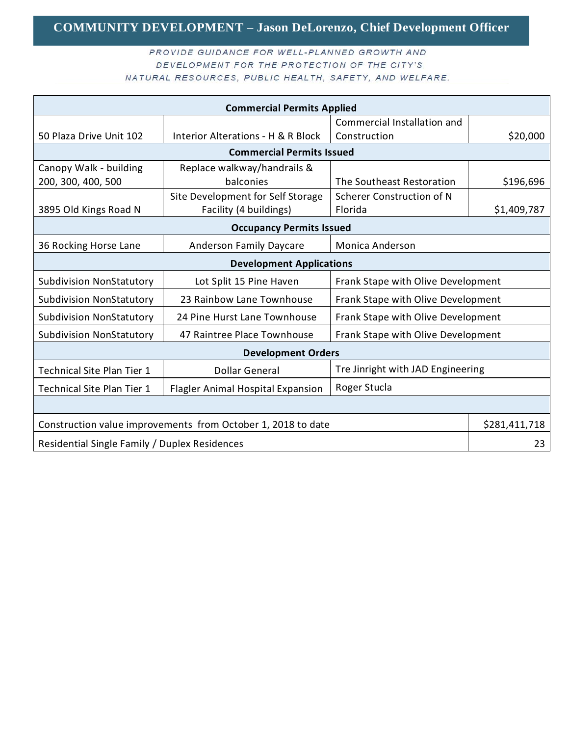## **COMMUNITY DEVELOPMENT – Jason DeLorenzo, Chief Development Officer**

#### PROVIDE GUIDANCE FOR WELL-PLANNED GROWTH AND DEVELOPMENT FOR THE PROTECTION OF THE CITY'S NATURAL RESOURCES, PUBLIC HEALTH, SAFETY, AND WELFARE.

| <b>Commercial Permits Applied</b>                            |                                          |                                    |               |
|--------------------------------------------------------------|------------------------------------------|------------------------------------|---------------|
|                                                              |                                          | Commercial Installation and        |               |
| 50 Plaza Drive Unit 102                                      | Interior Alterations - H & R Block       | Construction                       | \$20,000      |
| <b>Commercial Permits Issued</b>                             |                                          |                                    |               |
| Canopy Walk - building                                       | Replace walkway/handrails &              |                                    |               |
| 200, 300, 400, 500                                           | balconies                                | The Southeast Restoration          | \$196,696     |
|                                                              | Site Development for Self Storage        | Scherer Construction of N          |               |
| 3895 Old Kings Road N                                        | Facility (4 buildings)                   | Florida                            | \$1,409,787   |
| <b>Occupancy Permits Issued</b>                              |                                          |                                    |               |
| 36 Rocking Horse Lane                                        | Anderson Family Daycare                  | <b>Monica Anderson</b>             |               |
| <b>Development Applications</b>                              |                                          |                                    |               |
| <b>Subdivision NonStatutory</b>                              | Lot Split 15 Pine Haven                  | Frank Stape with Olive Development |               |
| <b>Subdivision NonStatutory</b>                              | 23 Rainbow Lane Townhouse                | Frank Stape with Olive Development |               |
| <b>Subdivision NonStatutory</b>                              | 24 Pine Hurst Lane Townhouse             | Frank Stape with Olive Development |               |
| <b>Subdivision NonStatutory</b>                              | 47 Raintree Place Townhouse              | Frank Stape with Olive Development |               |
| <b>Development Orders</b>                                    |                                          |                                    |               |
| <b>Technical Site Plan Tier 1</b>                            | <b>Dollar General</b>                    | Tre Jinright with JAD Engineering  |               |
| <b>Technical Site Plan Tier 1</b>                            | <b>Flagler Animal Hospital Expansion</b> | Roger Stucla                       |               |
|                                                              |                                          |                                    |               |
| Construction value improvements from October 1, 2018 to date |                                          |                                    | \$281,411,718 |
| Residential Single Family / Duplex Residences                |                                          |                                    | 23            |